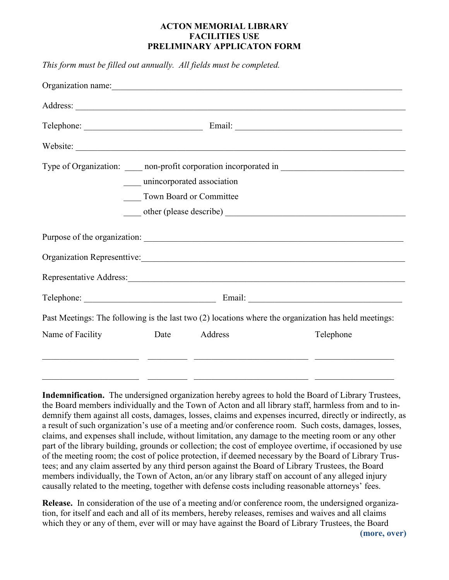## **ACTON MEMORIAL LIBRARY FACILITIES USE PRELIMINARY APPLICATON FORM**

*This form must be filled out annually. All fields must be completed.*

|                                | unincorporated association |         |                                                                                                      |  |  |
|--------------------------------|----------------------------|---------|------------------------------------------------------------------------------------------------------|--|--|
| <b>Town Board or Committee</b> |                            |         |                                                                                                      |  |  |
|                                |                            |         |                                                                                                      |  |  |
|                                |                            |         |                                                                                                      |  |  |
|                                |                            |         |                                                                                                      |  |  |
|                                |                            |         | Representative Address:                                                                              |  |  |
|                                |                            |         |                                                                                                      |  |  |
|                                |                            |         | Past Meetings: The following is the last two (2) locations where the organization has held meetings: |  |  |
| Name of Facility               | Date                       | Address | Telephone                                                                                            |  |  |
|                                |                            |         |                                                                                                      |  |  |
|                                |                            |         |                                                                                                      |  |  |
|                                |                            |         |                                                                                                      |  |  |

**Indemnification.** The undersigned organization hereby agrees to hold the Board of Library Trustees, the Board members individually and the Town of Acton and all library staff, harmless from and to indemnify them against all costs, damages, losses, claims and expenses incurred, directly or indirectly, as a result of such organization's use of a meeting and/or conference room. Such costs, damages, losses, claims, and expenses shall include, without limitation, any damage to the meeting room or any other part of the library building, grounds or collection; the cost of employee overtime, if occasioned by use of the meeting room; the cost of police protection, if deemed necessary by the Board of Library Trustees; and any claim asserted by any third person against the Board of Library Trustees, the Board members individually, the Town of Acton, an/or any library staff on account of any alleged injury causally related to the meeting, together with defense costs including reasonable attorneys' fees.

**Release.** In consideration of the use of a meeting and/or conference room, the undersigned organization, for itself and each and all of its members, hereby releases, remises and waives and all claims which they or any of them, ever will or may have against the Board of Library Trustees, the Board **(more, over)**